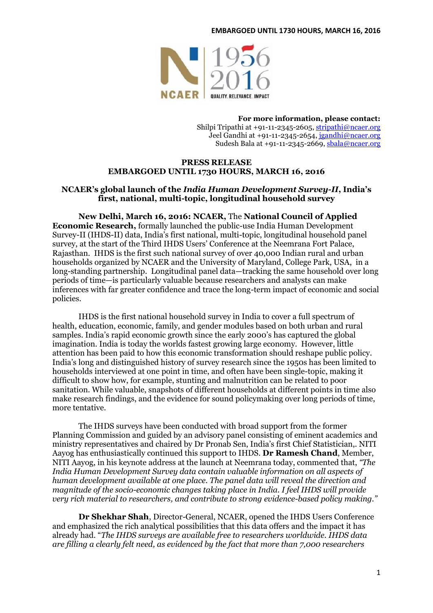#### **EMBARGOED UNTIL 1730 HOURS, MARCH 16, 2016**



**For more information, please contact:** Shilpi Tripathi at +91-11-2345-2605[, stripathi@ncaer.org](mailto:stripathi@ncaer.org) Jeel Gandhi at +91-11-2345-2654, [jgandhi@ncaer.org](mailto:jgandhi@ncaer.org) Sudesh Bala at +91-11-2345-2669[, sbala@ncaer.org](mailto:sbala@ncaer.org)

### **PRESS RELEASE EMBARGOED UNTIL 1730 HOURS, MARCH 16, 2016**

# **NCAER's global launch of the** *India Human Development Survey-II***, India's first, national, multi-topic, longitudinal household survey**

**New Delhi, March 16, 2016: NCAER,** The **National Council of Applied Economic Research,** formally launched the public-use India Human Development Survey-II (IHDS-II) data, India's first national, multi-topic, longitudinal household panel survey, at the start of the Third IHDS Users' Conference at the Neemrana Fort Palace, Rajasthan. IHDS is the first such national survey of over 40,000 Indian rural and urban households organized by NCAER and the University of Maryland, College Park, USA, in a long-standing partnership. Longitudinal panel data—tracking the same household over long periods of time—is particularly valuable because researchers and analysts can make inferences with far greater confidence and trace the long-term impact of economic and social policies.

IHDS is the first national household survey in India to cover a full spectrum of health, education, economic, family, and gender modules based on both urban and rural samples. India's rapid economic growth since the early 2000's has captured the global imagination. India is today the worlds fastest growing large economy. However, little attention has been paid to how this economic transformation should reshape public policy. India's long and distinguished history of survey research since the 1950s has been limited to households interviewed at one point in time, and often have been single-topic, making it difficult to show how, for example, stunting and malnutrition can be related to poor sanitation. While valuable, snapshots of different households at different points in time also make research findings, and the evidence for sound policymaking over long periods of time, more tentative.

The IHDS surveys have been conducted with broad support from the former Planning Commission and guided by an advisory panel consisting of eminent academics and ministry representatives and chaired by Dr Pronab Sen, India's first Chief Statistician,. NITI Aayog has enthusiastically continued this support to IHDS. **Dr Ramesh Chand**, Member, NITI Aayog, in his keynote address at the launch at Neemrana today, commented that, *"The India Human Development Survey data contain valuable information on all aspects of human development available at one place. The panel data will reveal the direction and magnitude of the socio-economic changes taking place in India. I feel IHDS will provide very rich material to researchers, and contribute to strong evidence-based policy making."*

**Dr Shekhar Shah**, Director-General, NCAER, opened the IHDS Users Conference and emphasized the rich analytical possibilities that this data offers and the impact it has already had. "*The IHDS surveys are available free to researchers worldwide. IHDS data are filling a clearly felt need, as evidenced by the fact that more than 7,000 researchers*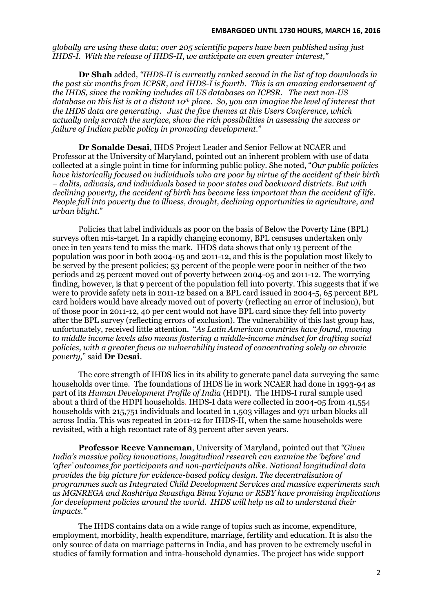*globally are using these data; over 205 scientific papers have been published using just IHDS-I. With the release of IHDS-II, we anticipate an even greater interest,"*

**Dr Shah** added*, "IHDS-II is currently ranked second in the list of top downloads in the past six months from ICPSR, and IHDS-I is fourth. This is an amazing endorsement of the IHDS, since the ranking includes all US databases on ICPSR. The next non-US database on this list is at a distant 10th place. So, you can imagine the level of interest that the IHDS data are generating. Just the five themes at this Users Conference, which actually only scratch the surface, show the rich possibilities in assessing the success or failure of Indian public policy in promoting development.*"

**Dr Sonalde Desai**, IHDS Project Leader and Senior Fellow at NCAER and Professor at the University of Maryland, pointed out an inherent problem with use of data collected at a single point in time for informing public policy. She noted, "*Our public policies have historically focused on individuals who are poor by virtue of the accident of their birth – dalits, adivasis, and individuals based in poor states and backward districts. But with declining poverty, the accident of birth has become less important than the accident of life. People fall into poverty due to illness, drought, declining opportunities in agriculture, and urban blight.*"

Policies that label individuals as poor on the basis of Below the Poverty Line (BPL) surveys often mis-target. In a rapidly changing economy, BPL censuses undertaken only once in ten years tend to miss the mark. IHDS data shows that only 13 percent of the population was poor in both 2004-05 and 2011-12, and this is the population most likely to be served by the present policies; 53 percent of the people were poor in neither of the two periods and 25 percent moved out of poverty between 2004-05 and 2011-12. The worrying finding, however, is that 9 percent of the population fell into poverty. This suggests that if we were to provide safety nets in 2011-12 based on a BPL card issued in 2004-5, 65 percent BPL card holders would have already moved out of poverty (reflecting an error of inclusion), but of those poor in 2011-12, 40 per cent would not have BPL card since they fell into poverty after the BPL survey (reflecting errors of exclusion). The vulnerability of this last group has, unfortunately, received little attention. "*As Latin American countries have found, moving to middle income levels also means fostering a middle-income mindset for drafting social policies, with a greater focus on vulnerability instead of concentrating solely on chronic poverty,*" said **Dr Desai**.

The core strength of IHDS lies in its ability to generate panel data surveying the same households over time. The foundations of IHDS lie in work NCAER had done in 1993-94 as part of its *Human Development Profile of India* (HDPI). The IHDS-I rural sample used about a third of the HDPI households. IHDS-I data were collected in 2004-05 from 41,554 households with 215,751 individuals and located in 1,503 villages and 971 urban blocks all across India. This was repeated in 2011-12 for IHDS-II, when the same households were revisited, with a high recontact rate of 83 percent after seven years.

**Professor Reeve Vanneman**, University of Maryland, pointed out that *"Given India's massive policy innovations, longitudinal research can examine the 'before' and 'after' outcomes for participants and non-participants alike. National longitudinal data provides the big picture for evidence-based policy design. The decentralisation of programmes such as Integrated Child Development Services and massive experiments such as MGNREGA and Rashtriya Swasthya Bima Yojana or RSBY have promising implications for development policies around the world. IHDS will help us all to understand their impacts."*

The IHDS contains data on a wide range of topics such as income, expenditure, employment, morbidity, health expenditure, marriage, fertility and education. It is also the only source of data on marriage patterns in India, and has proven to be extremely useful in studies of family formation and intra-household dynamics. The project has wide support